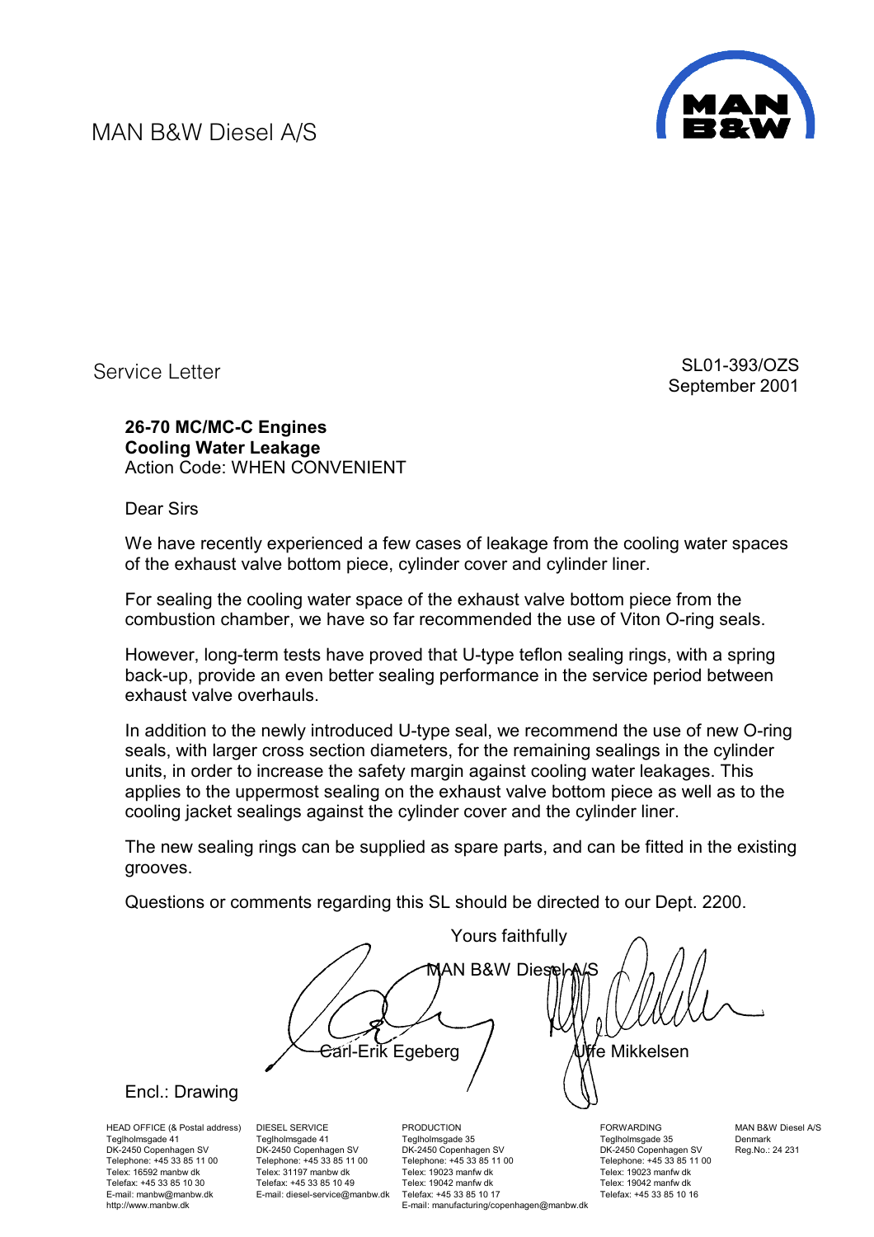MAN B&W Diesel A/S



Service Letter

SL01-393/OZS September 2001

**26-70 MC/MC-C Engines Cooling Water Leakage**  Action Code: WHEN CONVENIENT

Dear Sirs

We have recently experienced a few cases of leakage from the cooling water spaces of the exhaust valve bottom piece, cylinder cover and cylinder liner.

For sealing the cooling water space of the exhaust valve bottom piece from the combustion chamber, we have so far recommended the use of Viton O-ring seals.

However, long-term tests have proved that U-type teflon sealing rings, with a spring back-up, provide an even better sealing performance in the service period between exhaust valve overhauls.

In addition to the newly introduced U-type seal, we recommend the use of new O-ring seals, with larger cross section diameters, for the remaining sealings in the cylinder units, in order to increase the safety margin against cooling water leakages. This applies to the uppermost sealing on the exhaust valve bottom piece as well as to the cooling jacket sealings against the cylinder cover and the cylinder liner.

The new sealing rings can be supplied as spare parts, and can be fitted in the existing grooves.

Questions or comments regarding this SL should be directed to our Dept. 2200.

 Yours faithfully **MAN B&W Diese** Carl-Erik Egeberg Uffe Mikkelsen

## [Encl.: Drawing](#page-1-0)

HEAD OFFICE (& Postal address) Teglholmsgade 41 DK-2450 Copenhagen SV Telephone: +45 33 85 11 00 Telex: 16592 manbw dk Telefax: +45 33 85 10 30 E-mail: manbw@manbw.dk http://www.manbw.dk

DIESEL SERVICE Teglholmsgade 41 DK-2450 Copenhagen SV Telephone: +45 33 85 11 00 Telex: 31197 manbw dk Telefax: +45 33 85 10 49 E-mail: diesel-service@manbw.dk

PRODUCTION Teglholmsgade 35 DK-2450 Copenhagen SV Telephone: +45 33 85 11 00 Telex: 19023 manfw dk Telex: 19042 manfw dk Telefax: +45 33 85 10 17 E-mail: manufacturing/copenhagen@manbw.dk **FORWARDING** Teglholmsgade 35 DK-2450 Copenhagen SV Telephone: +45 33 85 11 00 Telex: 19023 manfw dk Telex: 19042 manfw dk Telefax: +45 33 85 10 16

MAN B&W Diesel A/S Denmark Reg.No.: 24 231